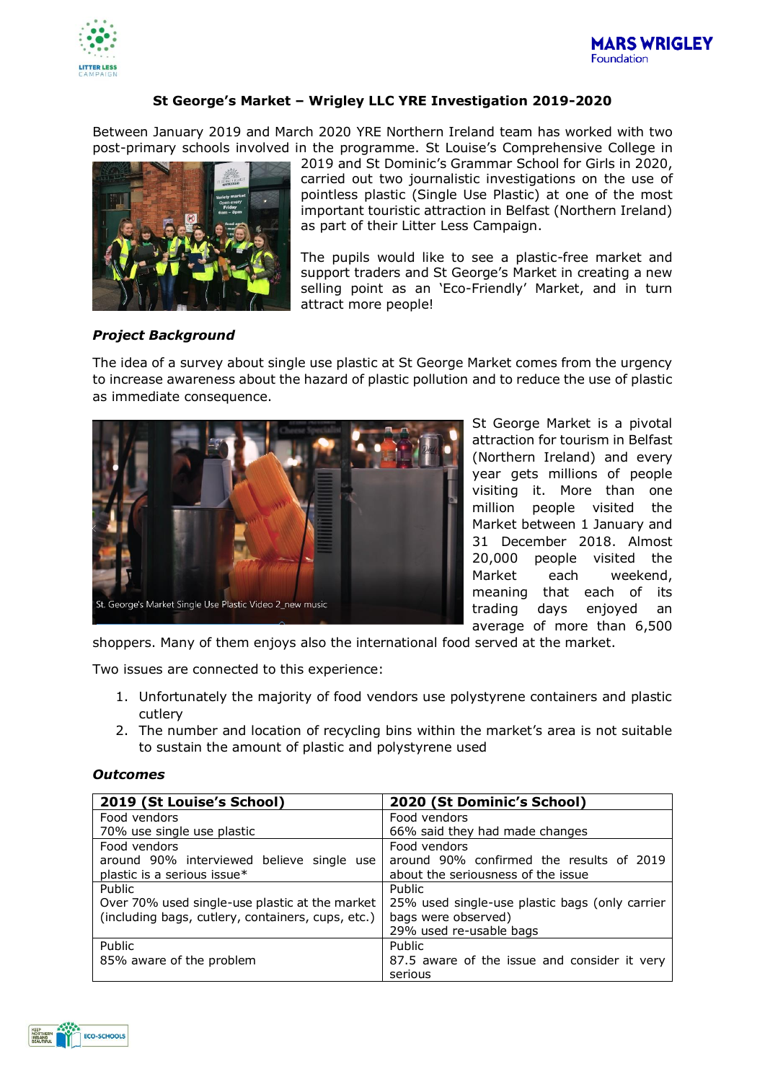



# **St George's Market – Wrigley LLC YRE Investigation 2019-2020**

Between January 2019 and March 2020 YRE Northern Ireland team has worked with two post-primary schools involved in the programme. St Louise's Comprehensive College in



2019 and St Dominic's Grammar School for Girls in 2020, carried out two journalistic investigations on the use of pointless plastic (Single Use Plastic) at one of the most important touristic attraction in Belfast (Northern Ireland) as part of their Litter Less Campaign.

The pupils would like to see a plastic-free market and support traders and St George's Market in creating a new selling point as an 'Eco-Friendly' Market, and in turn attract more people!

## *Project Background*

The idea of a survey about single use plastic at St George Market comes from the urgency to increase awareness about the hazard of plastic pollution and to reduce the use of plastic as immediate consequence.



St George Market is a pivotal attraction for tourism in Belfast (Northern Ireland) and every year gets millions of people visiting it. More than one million people visited the Market between 1 January and 31 December 2018. Almost 20,000 people visited the Market each weekend, meaning that each of its trading days enjoyed an average of more than 6,500

shoppers. Many of them enjoys also the international food served at the market.

Two issues are connected to this experience:

- 1. Unfortunately the majority of food vendors use polystyrene containers and plastic cutlery
- 2. The number and location of recycling bins within the market's area is not suitable to sustain the amount of plastic and polystyrene used

### *Outcomes*

| 2019 (St Louise's School)                         | 2020 (St Dominic's School)                     |
|---------------------------------------------------|------------------------------------------------|
| Food vendors                                      | Food vendors                                   |
| 70% use single use plastic                        | 66% said they had made changes                 |
| Food vendors                                      | Food vendors                                   |
| around 90% interviewed believe single use         | around 90% confirmed the results of 2019       |
| plastic is a serious issue*                       | about the seriousness of the issue             |
| Public                                            | Public                                         |
| Over 70% used single-use plastic at the market    | 25% used single-use plastic bags (only carrier |
| (including bags, cutlery, containers, cups, etc.) | bags were observed)                            |
|                                                   | 29% used re-usable bags                        |
| Public                                            | Public                                         |
| 85% aware of the problem                          | 87.5 aware of the issue and consider it very   |
|                                                   | serious                                        |